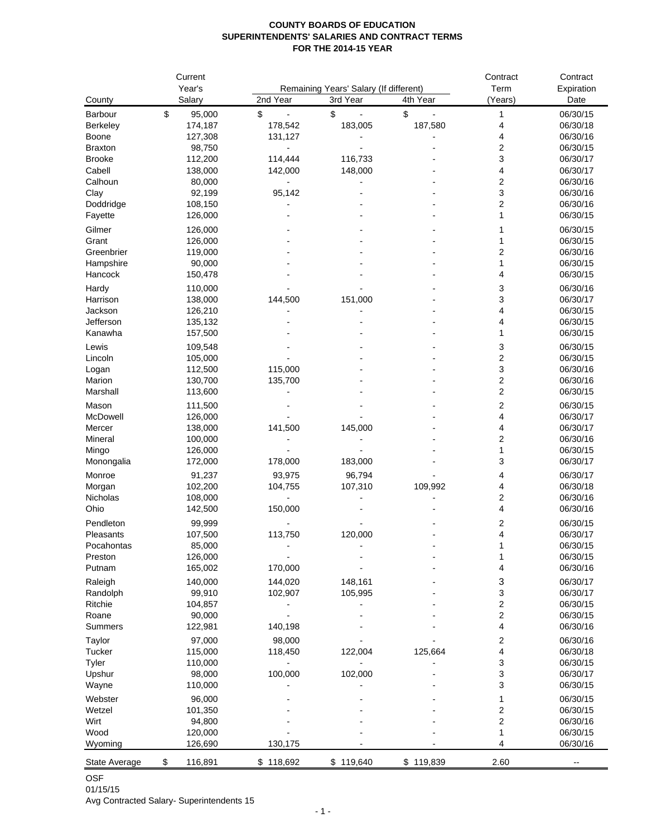## **COUNTY BOARDS OF EDUCATION SUPERINTENDENTS' SALARIES AND CONTRACT TERMS FOR THE 2014-15 YEAR**

|                   | Current            |                    |                                        | Contract<br>Term | Contract                |                      |
|-------------------|--------------------|--------------------|----------------------------------------|------------------|-------------------------|----------------------|
|                   | Year's             |                    | Remaining Years' Salary (If different) |                  | Expiration              |                      |
| County            | Salary             | 2nd Year           | 3rd Year                               | 4th Year         | (Years)                 | Date                 |
| Barbour           | \$<br>95,000       | \$                 | \$                                     | \$               | 1                       | 06/30/15             |
| Berkeley<br>Boone | 174,187<br>127,308 | 178,542<br>131,127 | 183,005                                | 187,580          | 4<br>4                  | 06/30/18<br>06/30/16 |
| <b>Braxton</b>    | 98,750             |                    |                                        |                  | 2                       | 06/30/15             |
| <b>Brooke</b>     | 112,200            | 114,444            | 116,733                                |                  | 3                       | 06/30/17             |
| Cabell            | 138,000            | 142,000            | 148,000                                |                  | 4                       | 06/30/17             |
| Calhoun           | 80,000             |                    |                                        |                  | 2                       | 06/30/16             |
| Clay              | 92,199             | 95,142             |                                        |                  | 3                       | 06/30/16             |
| Doddridge         | 108,150            |                    |                                        |                  | 2                       | 06/30/16             |
| Fayette           | 126,000            |                    |                                        |                  | 1                       | 06/30/15             |
| Gilmer            | 126,000            |                    |                                        |                  | 1                       | 06/30/15             |
| Grant             | 126,000            |                    |                                        |                  | 1                       | 06/30/15             |
| Greenbrier        | 119,000            |                    |                                        |                  | 2                       | 06/30/16             |
| Hampshire         | 90,000             |                    |                                        |                  |                         | 06/30/15             |
| Hancock           | 150,478            |                    |                                        |                  | 4                       | 06/30/15             |
| Hardy             | 110,000            |                    |                                        |                  | 3                       | 06/30/16             |
| Harrison          | 138,000            | 144,500            | 151,000                                |                  | 3                       | 06/30/17             |
| Jackson           | 126,210            |                    |                                        |                  | 4                       | 06/30/15             |
| Jefferson         | 135,132            |                    |                                        |                  | 4                       | 06/30/15             |
| Kanawha           | 157,500            |                    |                                        |                  | 1                       | 06/30/15             |
| Lewis             | 109,548            |                    |                                        |                  | 3                       | 06/30/15             |
| Lincoln           | 105,000            |                    |                                        |                  | 2                       | 06/30/15             |
| Logan             | 112,500            | 115,000            |                                        |                  | 3                       | 06/30/16             |
| Marion            | 130,700            | 135,700            |                                        |                  | 2                       | 06/30/16             |
| Marshall          | 113,600            |                    |                                        |                  | 2                       | 06/30/15             |
| Mason             | 111,500            |                    |                                        |                  | 2                       | 06/30/15             |
| McDowell          | 126,000            |                    |                                        |                  | 4                       | 06/30/17             |
| Mercer            | 138,000            | 141,500            | 145,000                                |                  | 4                       | 06/30/17             |
| Mineral           | 100,000            |                    |                                        |                  | 2                       | 06/30/16             |
| Mingo             | 126,000            |                    |                                        |                  | 1                       | 06/30/15             |
| Monongalia        | 172,000            | 178,000            | 183,000                                |                  | 3                       | 06/30/17             |
| Monroe            | 91,237             | 93,975             | 96,794                                 |                  | 4                       | 06/30/17             |
| Morgan            | 102,200            | 104,755            | 107,310                                | 109,992          | 4                       | 06/30/18             |
| <b>Nicholas</b>   | 108,000            |                    |                                        |                  | 2                       | 06/30/16             |
| Ohio              | 142,500            | 150,000            |                                        |                  | 4                       | 06/30/16             |
| Pendleton         | 99,999             |                    |                                        |                  | 2                       | 06/30/15             |
| Pleasants         | 107,500            | 113,750            | 120,000                                |                  | 4                       | 06/30/17             |
| Pocahontas        | 85,000             |                    |                                        |                  |                         | 06/30/15             |
| Preston           | 126,000            |                    |                                        |                  | 1                       | 06/30/15             |
| Putnam            | 165,002            | 170,000            |                                        |                  | 4                       | 06/30/16             |
| Raleigh           | 140,000            | 144,020            | 148,161                                |                  | 3                       | 06/30/17             |
| Randolph          | 99,910             | 102,907            | 105,995                                |                  | 3                       | 06/30/17             |
| Ritchie           | 104,857            |                    |                                        |                  | 2                       | 06/30/15             |
| Roane             | 90,000             |                    |                                        |                  | $\overline{\mathbf{c}}$ | 06/30/15             |
| Summers           | 122,981            | 140,198            |                                        |                  | 4                       | 06/30/16             |
| Taylor            | 97,000             | 98,000             |                                        |                  | 2                       | 06/30/16             |
| Tucker            | 115,000            | 118,450            | 122,004                                | 125,664          | 4                       | 06/30/18             |
| Tyler             | 110,000            |                    |                                        |                  | 3                       | 06/30/15             |
| Upshur            | 98,000             | 100,000            | 102,000                                |                  | 3                       | 06/30/17             |
| Wayne             | 110,000            |                    |                                        |                  | 3                       | 06/30/15             |
| Webster           | 96,000             |                    |                                        |                  | 1                       | 06/30/15             |
| Wetzel            | 101,350            |                    |                                        |                  | 2                       | 06/30/15             |
| Wirt              | 94,800             |                    |                                        |                  | 2                       | 06/30/16             |
| Wood              | 120,000            |                    |                                        |                  | 1                       | 06/30/15             |
| Wyoming           | 126,690            | 130,175            |                                        |                  | 4                       | 06/30/16             |
| State Average     | 116,891<br>\$      | \$118,692          | \$119,640                              | \$119,839        | 2.60                    |                      |

OSF 01/15/15

Avg Contracted Salary- Superintendents 15